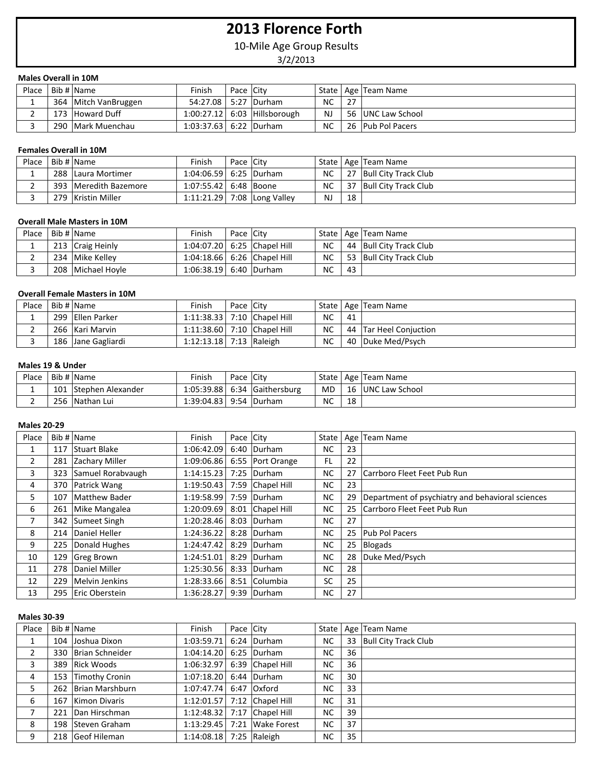# **2013 Florence Forth**

10-Mile Age Group Results

3/2/2013

### **Males Overall in 10M**

| Place | Bib #   Name           | Finish                   | Pace City |                                |     |     | State   Age   Team Name |
|-------|------------------------|--------------------------|-----------|--------------------------------|-----|-----|-------------------------|
|       | 364   Mitch VanBruggen | 54:27.08   5:27   Durham |           |                                | NC  | -27 |                         |
|       | 173 Howard Duff        |                          |           | $1:00:27.12$ 6:03 Hillsborough | NJ. |     | 56 UNC Law School       |
|       | 290   Mark Muenchau    | 1:03:37.63 6:22 Durham   |           |                                | NC. |     | 26 Pub Pol Pacers       |

# **Females Overall in 10M**

| Place | Bib # Name            | Finish                    | Pace City |                             |           |    | State   Age   Team Name   |
|-------|-----------------------|---------------------------|-----------|-----------------------------|-----------|----|---------------------------|
|       | 288 Laura Mortimer    | $1:04:06.59$ 6:25 Durham  |           |                             | <b>NC</b> |    | 27   Bull City Track Club |
|       | 393 Meredith Bazemore | 1:07:55.42   6:48   Boone |           |                             | <b>NC</b> |    | 37 Bull City Track Club   |
|       | 279 Kristin Miller    |                           |           | 1:11:21.29 7:08 Long Valley | <b>NJ</b> | 18 |                           |

#### **Overall Male Masters in 10M**

| Place    | Bib # Name          | Finish                 | Pace City |                                 |           |    | State   Age   Team Name   |
|----------|---------------------|------------------------|-----------|---------------------------------|-----------|----|---------------------------|
|          | 213 Craig Heinly    |                        |           | 1:04:07.20   6:25   Chapel Hill | NC.       |    | 44   Bull City Track Club |
| <u>.</u> | 234 Mike Kelley     |                        |           | 1:04:18.66   6:26   Chapel Hill | NC.       |    | 53 Bull City Track Club   |
|          | 208   Michael Hovle | 1:06:38.19 6:40 Durham |           |                                 | <b>NC</b> | 43 |                           |

# **Overall Female Masters in 10M**

| Place | Bib # Name         | Finish                      | Pace City |           |    | State   Age   Team Name  |
|-------|--------------------|-----------------------------|-----------|-----------|----|--------------------------|
|       | 299 Ellen Parker   | 1:11:38.33 7:10 Chapel Hill |           | <b>NC</b> | 41 |                          |
|       | 266 Kari Marvin    | 1:11:38.60 7:10 Chapel Hill |           | <b>NC</b> |    | 44   Tar Heel Conjuction |
|       | 186 Jane Gagliardi | 1:12:13.18 7:13 Raleigh     |           | <b>NC</b> |    | 40   Duke Med/Psych      |

### **Males 19 & Under**

| Place |     | Bib # Name               | Finish     | Pace | Citv              | State |    | Age Team Name          |
|-------|-----|--------------------------|------------|------|-------------------|-------|----|------------------------|
|       | 101 | <b>Stephen Alexander</b> | 1:05:39.88 |      | 6:34 Gaithersburg | MD.   | 16 | <b>JUNC Law School</b> |
|       | 256 | <b>Nathan Lui</b>        | 1:39:04.83 | 9:54 | <b>Durham</b>     | NC    | 18 |                        |

#### **Males 20-29**

| Place          |     | Bib # Name            | Finish                 | Pace City |                  | State     |    | Age Team Name                                    |
|----------------|-----|-----------------------|------------------------|-----------|------------------|-----------|----|--------------------------------------------------|
|                |     | 117 Stuart Blake      | 1:06:42.09             |           | 6:40 Durham      | NC.       | 23 |                                                  |
| $\overline{2}$ |     | 281 Zachary Miller    | 1:09:06.86             |           | 6:55 Port Orange | FL        | 22 |                                                  |
| 3              |     | 323 Samuel Rorabvaugh | 1:14:15.23             |           | 7:25 Durham      | <b>NC</b> | 27 | Carrboro Fleet Feet Pub Run                      |
| 4              |     | 370 Patrick Wang      | 1:19:50.43             |           | 7:59 Chapel Hill | NC.       | 23 |                                                  |
| 5              | 107 | Matthew Bader         | 1:19:58.99 7:59 Durham |           |                  | <b>NC</b> | 29 | Department of psychiatry and behavioral sciences |
| 6              |     | 261 Mike Mangalea     | 1:20:09.69             |           | 8:01 Chapel Hill | <b>NC</b> | 25 | Carrboro Fleet Feet Pub Run                      |
| 7              |     | 342 Sumeet Singh      | 1:20:28.46             |           | 8:03 Durham      | NC.       | 27 |                                                  |
| 8              |     | 214 Daniel Heller     | 1:24:36.22             |           | 8:28 Durham      | <b>NC</b> | 25 | <b>Pub Pol Pacers</b>                            |
| 9              |     | 225 Donald Hughes     | 1:24:47.42             |           | 8:29 Durham      | <b>NC</b> | 25 | Blogads                                          |
| 10             |     | 129 Greg Brown        | 1:24:51.01             | 8:29      | Durham           | <b>NC</b> | 28 | Duke Med/Psych                                   |
| 11             | 278 | Daniel Miller         | 1:25:30.56             |           | 8:33 Durham      | <b>NC</b> | 28 |                                                  |
| 12             |     | 229 Melvin Jenkins    | 1:28:33.66             |           | 8:51 Columbia    | SC        | 25 |                                                  |
| 13             |     | 295 Eric Oberstein    | 1:36:28.27             |           | 9:39 Durham      | <b>NC</b> | 27 |                                                  |

#### **Males 30-39**

| Place | Bib # Name          | Finish     | Pace City |                             |           |    | State   Age   Team Name   |
|-------|---------------------|------------|-----------|-----------------------------|-----------|----|---------------------------|
| 1     | 104 Joshua Dixon    | 1:03:59.71 |           | 6:24 Durham                 | <b>NC</b> |    | 33   Bull City Track Club |
| 2     | 330 Brian Schneider | 1:04:14.20 |           | 6:25 Durham                 | <b>NC</b> | 36 |                           |
| 3     | 389 Rick Woods      | 1:06:32.97 |           | 6:39 Chapel Hill            | <b>NC</b> | 36 |                           |
| 4     | 153 Timothy Cronin  | 1:07:18.20 |           | 6:44 Durham                 | <b>NC</b> | 30 |                           |
| 5     | 262 Brian Marshburn | 1:07:47.74 |           | 6:47 Oxford                 | NC.       | 33 |                           |
| 6     | 167 Kimon Divaris   |            |           | 1:12:01.57 7:12 Chapel Hill | <b>NC</b> | 31 |                           |
|       | 221 Dan Hirschman   | 1:12:48.32 |           | 7:17 Chapel Hill            | <b>NC</b> | 39 |                           |
| 8     | 198 Steven Graham   | 1:13:29.45 |           | 7:21 Wake Forest            | NC.       | 37 |                           |
| 9     | 218 Geof Hileman    | 1:14:08.18 |           | 7:25 Raleigh                | <b>NC</b> | 35 |                           |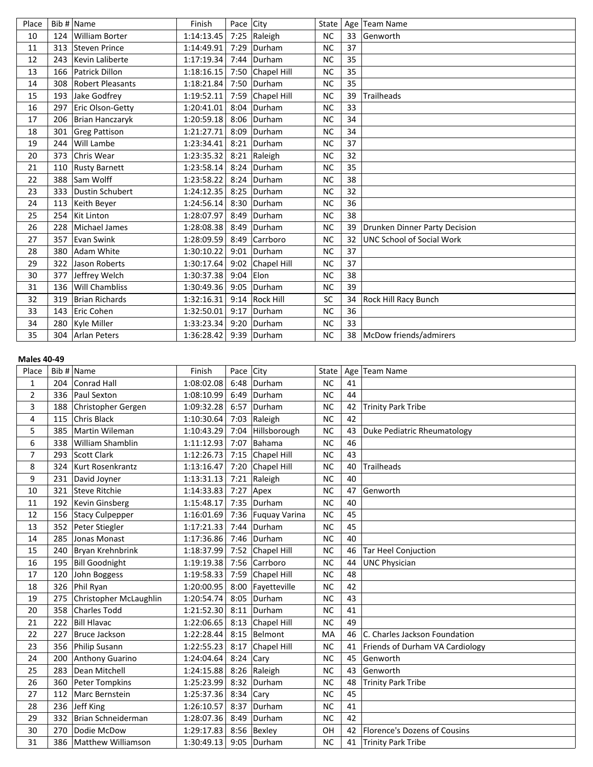| Place |     | Bib # Name              | Finish     | Pace City |                  | State     |    | Age   Team Name                  |
|-------|-----|-------------------------|------------|-----------|------------------|-----------|----|----------------------------------|
| 10    | 124 | <b>William Borter</b>   | 1:14:13.45 | 7:25      | Raleigh          | <b>NC</b> | 33 | Genworth                         |
| 11    | 313 | Steven Prince           | 1:14:49.91 | 7:29      | Durham           | <b>NC</b> | 37 |                                  |
| 12    | 243 | <b>Kevin Laliberte</b>  | 1:17:19.34 | 7:44      | Durham           | <b>NC</b> | 35 |                                  |
| 13    | 166 | Patrick Dillon          | 1:18:16.15 |           | 7:50 Chapel Hill | <b>NC</b> | 35 |                                  |
| 14    | 308 | <b>Robert Pleasants</b> | 1:18:21.84 |           | 7:50 Durham      | <b>NC</b> | 35 |                                  |
| 15    | 193 | Jake Godfrey            | 1:19:52.11 | 7:59      | Chapel Hill      | <b>NC</b> | 39 | <b>Trailheads</b>                |
| 16    | 297 | Eric Olson-Getty        | 1:20:41.01 | 8:04      | Durham           | <b>NC</b> | 33 |                                  |
| 17    | 206 | Brian Hanczaryk         | 1:20:59.18 | 8:06      | Durham           | <b>NC</b> | 34 |                                  |
| 18    | 301 | <b>Greg Pattison</b>    | 1:21:27.71 | 8:09      | Durham           | <b>NC</b> | 34 |                                  |
| 19    | 244 | Will Lambe              | 1:23:34.41 |           | 8:21 Durham      | <b>NC</b> | 37 |                                  |
| 20    | 373 | Chris Wear              | 1:23:35.32 | 8:21      | Raleigh          | <b>NC</b> | 32 |                                  |
| 21    | 110 | <b>Rusty Barnett</b>    | 1:23:58.14 | 8:24      | Durham           | <b>NC</b> | 35 |                                  |
| 22    | 388 | Sam Wolff               | 1:23:58.22 |           | 8:24 Durham      | <b>NC</b> | 38 |                                  |
| 23    | 333 | Dustin Schubert         | 1:24:12.35 | 8:25      | Durham           | <b>NC</b> | 32 |                                  |
| 24    | 113 | Keith Beyer             | 1:24:56.14 | 8:30      | Durham           | <b>NC</b> | 36 |                                  |
| 25    | 254 | <b>Kit Linton</b>       | 1:28:07.97 | 8:49      | Durham           | <b>NC</b> | 38 |                                  |
| 26    | 228 | <b>Michael James</b>    | 1:28:08.38 | 8:49      | Durham           | <b>NC</b> | 39 | Drunken Dinner Party Decision    |
| 27    | 357 | Evan Swink              | 1:28:09.59 | 8:49      | Carrboro         | <b>NC</b> | 32 | <b>UNC School of Social Work</b> |
| 28    | 380 | Adam White              | 1:30:10.22 | 9:01      | Durham           | <b>NC</b> | 37 |                                  |
| 29    | 322 | Jason Roberts           | 1:30:17.64 |           | 9:02 Chapel Hill | <b>NC</b> | 37 |                                  |
| 30    | 377 | Jeffrey Welch           | 1:30:37.38 | 9:04      | Elon             | <b>NC</b> | 38 |                                  |
| 31    | 136 | Will Chambliss          | 1:30:49.36 | 9:05      | Durham           | <b>NC</b> | 39 |                                  |
| 32    | 319 | <b>Brian Richards</b>   | 1:32:16.31 |           | 9:14 Rock Hill   | <b>SC</b> | 34 | Rock Hill Racy Bunch             |
| 33    | 143 | Eric Cohen              | 1:32:50.01 | 9:17      | Durham           | <b>NC</b> | 36 |                                  |
| 34    | 280 | Kyle Miller             | 1:33:23.34 | 9:20      | Durham           | <b>NC</b> | 33 |                                  |
| 35    |     | 304 Arlan Peters        | 1:36:28.42 |           | 9:39 Durham      | <b>NC</b> | 38 | McDow friends/admirers           |
|       |     |                         |            |           |                  |           |    |                                  |

### **Males 40-49**

| Place          |     | Bib # $Name$           | Finish     | Pace City |                      | State     |    | Age Team Name                   |
|----------------|-----|------------------------|------------|-----------|----------------------|-----------|----|---------------------------------|
| 1              | 204 | Conrad Hall            | 1:08:02.08 | 6:48      | Durham               | <b>NC</b> | 41 |                                 |
| $\overline{2}$ | 336 | Paul Sexton            | 1:08:10.99 | 6:49      | Durham               | <b>NC</b> | 44 |                                 |
| 3              | 188 | Christopher Gergen     | 1:09:32.28 | 6:57      | Durham               | <b>NC</b> | 42 | <b>Trinity Park Tribe</b>       |
| 4              | 115 | <b>Chris Black</b>     | 1:10:30.64 |           | 7:03 $ Raleigh$      | <b>NC</b> | 42 |                                 |
| 5              | 385 | Martin Wileman         | 1:10:43.29 | 7:04      | Hillsborough         | <b>NC</b> | 43 | Duke Pediatric Rheumatology     |
| 6              | 338 | William Shamblin       | 1:11:12.93 | 7:07      | Bahama               | <b>NC</b> | 46 |                                 |
| 7              | 293 | Scott Clark            | 1:12:26.73 |           | 7:15 Chapel Hill     | <b>NC</b> | 43 |                                 |
| 8              | 324 | Kurt Rosenkrantz       | 1:13:16.47 | 7:20      | <b>Chapel Hill</b>   | <b>NC</b> | 40 | <b>Trailheads</b>               |
| 9              | 231 | David Joyner           | 1:13:31.13 | 7:21      | Raleigh              | <b>NC</b> | 40 |                                 |
| 10             |     | 321 Steve Ritchie      | 1:14:33.83 |           | $7:27$ Apex          | <b>NC</b> | 47 | <b>Genworth</b>                 |
| 11             | 192 | Kevin Ginsberg         | 1:15:48.17 | 7:35      | Durham               | <b>NC</b> | 40 |                                 |
| 12             |     | 156 Stacy Culpepper    | 1:16:01.69 | 7:36      | <b>Fuquay Varina</b> | <b>NC</b> | 45 |                                 |
| 13             | 352 | Peter Stiegler         | 1:17:21.33 | 7:44      | Durham               | <b>NC</b> | 45 |                                 |
| 14             | 285 | Jonas Monast           | 1:17:36.86 | 7:46      | Durham               | <b>NC</b> | 40 |                                 |
| 15             | 240 | Bryan Krehnbrink       | 1:18:37.99 | 7:52      | Chapel Hill          | <b>NC</b> | 46 | Tar Heel Conjuction             |
| 16             |     | 195 Bill Goodnight     | 1:19:19.38 |           | 7:56 Carrboro        | <b>NC</b> | 44 | <b>UNC Physician</b>            |
| 17             | 120 | John Boggess           | 1:19:58.33 | 7:59      | Chapel Hill          | <b>NC</b> | 48 |                                 |
| 18             | 326 | Phil Ryan              | 1:20:00.95 | 8:00      | Fayetteville         | <b>NC</b> | 42 |                                 |
| 19             | 275 | Christopher McLaughlin | 1:20:54.74 | 8:05      | Durham               | <b>NC</b> | 43 |                                 |
| 20             | 358 | Charles Todd           | 1:21:52.30 | 8:11      | Durham               | <b>NC</b> | 41 |                                 |
| 21             | 222 | <b>Bill Hlavac</b>     | 1:22:06.65 | 8:13      | <b>Chapel Hill</b>   | <b>NC</b> | 49 |                                 |
| 22             | 227 | Bruce Jackson          | 1:22:28.44 |           | 8:15 Belmont         | MA        | 46 | C. Charles Jackson Foundation   |
| 23             | 356 | Philip Susann          | 1:22:55.23 |           | 8:17 Chapel Hill     | <b>NC</b> | 41 | Friends of Durham VA Cardiology |
| 24             | 200 | Anthony Guarino        | 1:24:04.64 | 8:24      | Cary                 | <b>NC</b> | 45 | Genworth                        |
| 25             | 283 | Dean Mitchell          | 1:24:15.88 |           | 8:26 Raleigh         | <b>NC</b> | 43 | Genworth                        |
| 26             | 360 | Peter Tompkins         | 1:25:23.99 | 8:32      | Durham               | <b>NC</b> | 48 | <b>Trinity Park Tribe</b>       |
| 27             | 112 | Marc Bernstein         | 1:25:37.36 | 8:34      | Cary                 | <b>NC</b> | 45 |                                 |
| 28             | 236 | Jeff King              | 1:26:10.57 | 8:37      | Durham               | <b>NC</b> | 41 |                                 |
| 29             | 332 | Brian Schneiderman     | 1:28:07.36 | 8:49      | Durham               | <b>NC</b> | 42 |                                 |
| 30             | 270 | Dodie McDow            | 1:29:17.83 | 8:56      | Bexley               | OH        | 42 | Florence's Dozens of Cousins    |
| 31             | 386 | Matthew Williamson     | 1:30:49.13 |           | 9:05 Durham          | <b>NC</b> | 41 | Trinity Park Tribe              |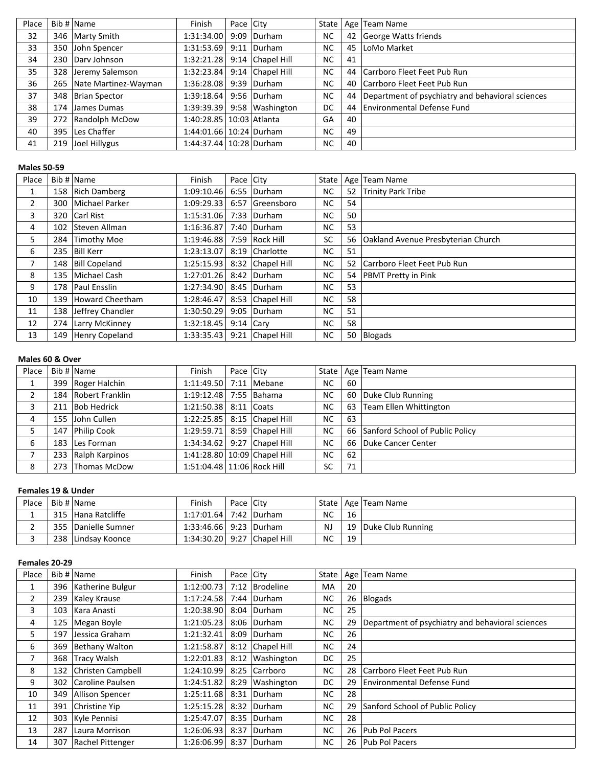| Place | Bib # Name               | Finish                       | Pace City |                  | State     |    | Age Team Name                                       |
|-------|--------------------------|------------------------------|-----------|------------------|-----------|----|-----------------------------------------------------|
| 32    | 346 Marty Smith          | 1:31:34.00                   |           | 9:09 Durham      | NC.       |    | 42 George Watts friends                             |
| 33    | 350 John Spencer         | 1:31:53.69                   |           | 9:11 Durham      | NC.       | 45 | LoMo Market                                         |
| 34    | 230 Dary Johnson         | 1:32:21.28                   |           | 9:14 Chapel Hill | <b>NC</b> | 41 |                                                     |
| 35    | 328 Jeremy Salemson      | 1:32:23.84                   |           | 9:14 Chapel Hill | NC.       |    | 44 Carrboro Fleet Feet Pub Run                      |
| 36    | 265 Nate Martinez-Wayman | 1:36:28.08                   |           | 9:39 Durham      | <b>NC</b> |    | 40 Carrboro Fleet Feet Pub Run                      |
| 37    | 348 Brian Spector        | 1:39:18.64                   |           | 9:56 Durham      | <b>NC</b> |    | 44 Department of psychiatry and behavioral sciences |
| 38    | 174 James Dumas          | 1:39:39.39                   |           | 9:58 Washington  | DC.       |    | 44 Environmental Defense Fund                       |
| 39    | 272 Randolph McDow       | 1:40:28.85   10:03   Atlanta |           |                  | GA        | 40 |                                                     |
| 40    | 395 Les Chaffer          | 1:44:01.66   10:24   Durham  |           |                  | <b>NC</b> | 49 |                                                     |
| 41    | 219 Joel Hillygus        | 1:44:37.44   10:28   Durham  |           |                  | NC.       | 40 |                                                     |

# **Males 50-59**

| Place          |     | Bib # Name           | Finish     | Pace City   |                  | State     |    | Age   Team Name                           |
|----------------|-----|----------------------|------------|-------------|------------------|-----------|----|-------------------------------------------|
| 1              |     | 158 Rich Damberg     | 1:09:10.46 |             | 6:55 Durham      | NC.       | 52 | Trinity Park Tribe                        |
| $\overline{2}$ | 300 | Michael Parker       | 1:09:29.33 |             | 6:57 Greensboro  | <b>NC</b> | 54 |                                           |
| 3              | 320 | Carl Rist            | 1:15:31.06 | 7:33        | Durham           | NC.       | 50 |                                           |
| 4              |     | 102 Steven Allman    | 1:16:36.87 |             | 7:40 Durham      | <b>NC</b> | 53 |                                           |
| 5              | 284 | Timothy Moe          | 1:19:46.88 |             | 7:59 Rock Hill   | <b>SC</b> | 56 | <b>Oakland Avenue Presbyterian Church</b> |
| 6              |     | 235 Bill Kerr        | 1:23:13.07 |             | 8:19 Charlotte   | NC.       | 51 |                                           |
| 7              |     | 148   Bill Copeland  | 1:25:15.93 |             | 8:32 Chapel Hill | NC.       | 52 | Carrboro Fleet Feet Pub Run               |
| 8              | 135 | Michael Cash         | 1:27:01.26 |             | 8:42 Durham      | <b>NC</b> | 54 | <b>PBMT Pretty in Pink</b>                |
| 9              | 178 | <b>Paul Ensslin</b>  | 1:27:34.90 |             | 8:45 Durham      | NC.       | 53 |                                           |
| 10             | 139 | Howard Cheetham      | 1:28:46.47 |             | 8:53 Chapel Hill | <b>NC</b> | 58 |                                           |
| 11             |     | 138 Jeffrey Chandler | 1:30:50.29 |             | 9:05 Durham      | <b>NC</b> | 51 |                                           |
| 12             |     | 274 Larry McKinney   | 1:32:18.45 | $9:14$ Cary |                  | NC.       | 58 |                                           |
| 13             | 149 | Henry Copeland       | 1:33:35.43 |             | 9:21 Chapel Hill | <b>NC</b> | 50 | Blogads                                   |

# **Males 60 & Over**

| Place | Bib # Name          | Finish                     | Pace City |                                 |           |    | State   Age   Team Name            |
|-------|---------------------|----------------------------|-----------|---------------------------------|-----------|----|------------------------------------|
|       | 399 Roger Halchin   | 1:11:49.50 7:11   Mebane   |           |                                 | NC.       | 60 |                                    |
| 2     | 184 Robert Franklin | 1:19:12.48 7:55 Bahama     |           |                                 | NC.       |    | 60 Duke Club Running               |
| 3     | 211 Bob Hedrick     | 1:21:50.38 8:11 Coats      |           |                                 | NC.       | 63 | Team Ellen Whittington             |
| 4     | 155 John Cullen     |                            |           | 1:22:25.85   8:15   Chapel Hill | <b>NC</b> | 63 |                                    |
| 5     | 147 Philip Cook     | 1:29:59.71                 |           | 8:59 Chapel Hill                | <b>NC</b> |    | 66 Sanford School of Public Policy |
| 6     | 183 Les Forman      |                            |           | 1:34:34.62 9:27 Chapel Hill     | <b>NC</b> | 66 | Duke Cancer Center                 |
|       | 233 Ralph Karpinos  |                            |           | 1:41:28.80 10:09 Chapel Hill    | <b>NC</b> | 62 |                                    |
| 8     | 273 Thomas McDow    | 1:51:04.48 11:06 Rock Hill |           |                                 | SC        | 71 |                                    |

# **Females 19 & Under**

| Place | Bib # Name          | Finish                          | Pace City |           |    | State   Age   Team Name |
|-------|---------------------|---------------------------------|-----------|-----------|----|-------------------------|
|       | 315 Hana Ratcliffe  | 1:17:01.64 7:42 Durham          |           | <b>NC</b> | 16 |                         |
|       | 355 Danielle Sumner | 1:33:46.66 9:23 Durham          |           | NJ        |    | 19   Duke Club Running  |
|       | 238 Lindsay Koonce  | 1:34:30.20   9:27   Chapel Hill |           | <b>NC</b> | 19 |                         |

### **Females 20-29**

| Place |     | Bib # Name           | Finish     | Pace City |                  | State     |    | Age   Team Name                                  |
|-------|-----|----------------------|------------|-----------|------------------|-----------|----|--------------------------------------------------|
| 1     |     | 396 Katherine Bulgur | 1:12:00.73 |           | 7:12 Brodeline   | <b>MA</b> | 20 |                                                  |
| 2     | 239 | Kaley Krause         | 1:17:24.58 |           | 7:44 Durham      | NC.       | 26 | Blogads                                          |
| 3     | 103 | Kara Anasti          | 1:20:38.90 |           | 8:04 Durham      | <b>NC</b> | 25 |                                                  |
| 4     | 125 | Megan Boyle          | 1:21:05.23 |           | 8:06 Durham      | <b>NC</b> | 29 | Department of psychiatry and behavioral sciences |
| 5.    | 197 | Jessica Graham       | 1:21:32.41 | 8:09      | Durham           | <b>NC</b> | 26 |                                                  |
| 6     | 369 | Bethany Walton       | 1:21:58.87 |           | 8:12 Chapel Hill | <b>NC</b> | 24 |                                                  |
| 7     | 368 | Tracy Walsh          | 1:22:01.83 |           | 8:12 Washington  | DC        | 25 |                                                  |
| 8     | 132 | Christen Campbell    | 1:24:10.99 |           | 8:25 Carrboro    | <b>NC</b> | 28 | Carrboro Fleet Feet Pub Run                      |
| 9     | 302 | Caroline Paulsen     | 1:24:51.82 | 8:29      | Washington       | DC        | 29 | Environmental Defense Fund                       |
| 10    | 349 | Allison Spencer      | 1:25:11.68 |           | 8:31 Durham      | <b>NC</b> | 28 |                                                  |
| 11    | 391 | Christine Yip        | 1:25:15.28 |           | 8:32 Durham      | <b>NC</b> | 29 | Sanford School of Public Policy                  |
| 12    |     | 303 Kyle Pennisi     | 1:25:47.07 |           | 8:35 Durham      | NC.       | 28 |                                                  |
| 13    | 287 | Laura Morrison       | 1:26:06.93 | 8:37      | Durham           | <b>NC</b> | 26 | <b>Pub Pol Pacers</b>                            |
| 14    | 307 | Rachel Pittenger     | 1:26:06.99 |           | 8:37 Durham      | NC.       |    | 26   Pub Pol Pacers                              |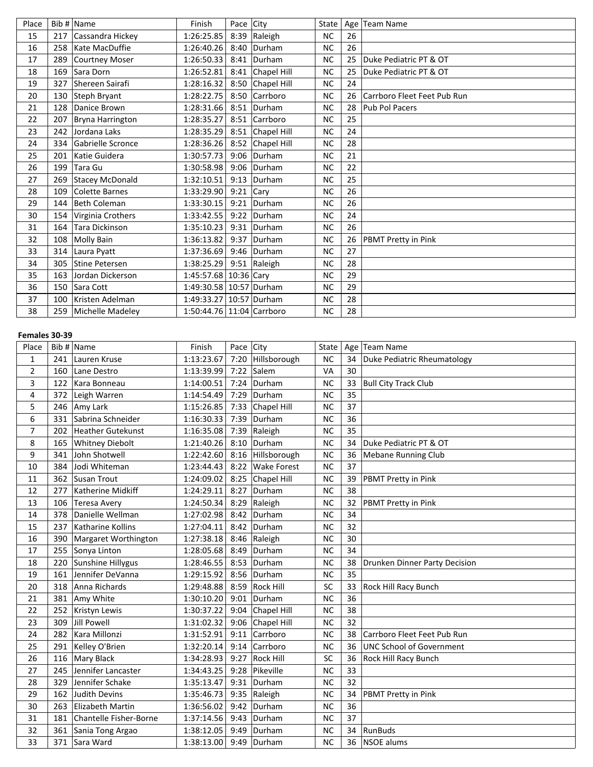| Place |     | Bib # $\vert$ Name | Finish                    | Pace City   |                  | State     |    | Age Team Name               |
|-------|-----|--------------------|---------------------------|-------------|------------------|-----------|----|-----------------------------|
| 15    | 217 | Cassandra Hickey   | 1:26:25.85                |             | 8:39 Raleigh     | <b>NC</b> | 26 |                             |
| 16    | 258 | Kate MacDuffie     | 1:26:40.26                |             | 8:40 Durham      | <b>NC</b> | 26 |                             |
| 17    | 289 | Courtney Moser     | 1:26:50.33                |             | 8:41 Durham      | <b>NC</b> | 25 | Duke Pediatric PT & OT      |
| 18    | 169 | Sara Dorn          | 1:26:52.81                |             | 8:41 Chapel Hill | <b>NC</b> | 25 | Duke Pediatric PT & OT      |
| 19    | 327 | Shereen Sairafi    | 1:28:16.32                |             | 8:50 Chapel Hill | <b>NC</b> | 24 |                             |
| 20    | 130 | Steph Bryant       | 1:28:22.75                |             | 8:50 Carrboro    | <b>NC</b> | 26 | Carrboro Fleet Feet Pub Run |
| 21    | 128 | Danice Brown       | 1:28:31.66                |             | $8:51$ Durham    | <b>NC</b> | 28 | Pub Pol Pacers              |
| 22    | 207 | Bryna Harrington   | 1:28:35.27                |             | 8:51 Carrboro    | <b>NC</b> | 25 |                             |
| 23    | 242 | Jordana Laks       | 1:28:35.29                |             | 8:51 Chapel Hill | <b>NC</b> | 24 |                             |
| 24    | 334 | Gabrielle Scronce  | 1:28:36.26                |             | 8:52 Chapel Hill | <b>NC</b> | 28 |                             |
| 25    | 201 | Katie Guidera      | 1:30:57.73                | 9:06        | Durham           | <b>NC</b> | 21 |                             |
| 26    | 199 | Tara Gu            | 1:30:58.98                |             | 9:06 Durham      | <b>NC</b> | 22 |                             |
| 27    | 269 | Stacey McDonald    | 1:32:10.51                |             | 9:13 Durham      | <b>NC</b> | 25 |                             |
| 28    | 109 | Colette Barnes     | 1:33:29.90                | $9:21$ Cary |                  | <b>NC</b> | 26 |                             |
| 29    | 144 | Beth Coleman       | 1:33:30.15                | 9:21        | Durham           | <b>NC</b> | 26 |                             |
| 30    | 154 | Virginia Crothers  | 1:33:42.55                |             | 9:22 Durham      | <b>NC</b> | 24 |                             |
| 31    | 164 | Tara Dickinson     | 1:35:10.23                |             | $9:31$ Durham    | <b>NC</b> | 26 |                             |
| 32    |     | 108 Molly Bain     | 1:36:13.82                |             | $9:37$ Durham    | <b>NC</b> | 26 | PBMT Pretty in Pink         |
| 33    | 314 | Laura Pyatt        | 1:37:36.69                |             | $9:46$ Durham    | <b>NC</b> | 27 |                             |
| 34    |     | 305 Stine Petersen | 1:38:25.29                |             | 9:51 Raleigh     | <b>NC</b> | 28 |                             |
| 35    | 163 | Jordan Dickerson   | 1:45:57.68 10:36 Cary     |             |                  | <b>NC</b> | 29 |                             |
| 36    |     | 150 Sara Cott      | 1:49:30.58 10:57 Durham   |             |                  | <b>NC</b> | 29 |                             |
| 37    | 100 | Kristen Adelman    | 1:49:33.27 10:57 Durham   |             |                  | NC        | 28 |                             |
| 38    | 259 | Michelle Madeley   | 1:50:44.76 11:04 Carrboro |             |                  | <b>NC</b> | 28 |                             |

## **Females 30-39**

| Place          |     | Bib # Name              | Finish     | Pace City |                    | State     |    | Age   Team Name                 |
|----------------|-----|-------------------------|------------|-----------|--------------------|-----------|----|---------------------------------|
| $\mathbf{1}$   | 241 | Lauren Kruse            | 1:13:23.67 | 7:20      | Hillsborough       | <b>NC</b> | 34 | Duke Pediatric Rheumatology     |
| $\overline{2}$ | 160 | Lane Destro             | 1:13:39.99 | 7:22      | Salem              | VA        | 30 |                                 |
| 3              | 122 | Kara Bonneau            | 1:14:00.51 | 7:24      | Durham             | <b>NC</b> | 33 | <b>Bull City Track Club</b>     |
| 4              | 372 | Leigh Warren            | 1:14:54.49 | 7:29      | Durham             | <b>NC</b> | 35 |                                 |
| 5              | 246 | Amy Lark                | 1:15:26.85 | 7:33      | Chapel Hill        | <b>NC</b> | 37 |                                 |
| 6              | 331 | Sabrina Schneider       | 1:16:30.33 | 7:39      | Durham             | <b>NC</b> | 36 |                                 |
| $\overline{7}$ | 202 | Heather Gutekunst       | 1:16:35.08 | 7:39      | Raleigh            | <b>NC</b> | 35 |                                 |
| 8              | 165 | <b>Whitney Diebolt</b>  | 1:21:40.26 | 8:10      | Durham             | <b>NC</b> | 34 | Duke Pediatric PT & OT          |
| 9              | 341 | John Shotwell           | 1:22:42.60 | 8:16      | Hillsborough       | <b>NC</b> | 36 | <b>Mebane Running Club</b>      |
| 10             | 384 | Jodi Whiteman           | 1:23:44.43 | 8:22      | <b>Wake Forest</b> | <b>NC</b> | 37 |                                 |
| 11             | 362 | Susan Trout             | 1:24:09.02 | 8:25      | Chapel Hill        | <b>NC</b> | 39 | PBMT Pretty in Pink             |
| 12             | 277 | Katherine Midkiff       | 1:24:29.11 | 8:27      | Durham             | <b>NC</b> | 38 |                                 |
| 13             | 106 | <b>Teresa Avery</b>     | 1:24:50.34 | 8:29      | Raleigh            | <b>NC</b> | 32 | PBMT Pretty in Pink             |
| 14             | 378 | Danielle Wellman        | 1:27:02.98 | 8:42      | Durham             | <b>NC</b> | 34 |                                 |
| 15             | 237 | Katharine Kollins       | 1:27:04.11 | 8:42      | Durham             | <b>NC</b> | 32 |                                 |
| 16             | 390 | Margaret Worthington    | 1:27:38.18 | 8:46      | Raleigh            | <b>NC</b> | 30 |                                 |
| 17             | 255 | Sonya Linton            | 1:28:05.68 | 8:49      | Durham             | <b>NC</b> | 34 |                                 |
| 18             | 220 | Sunshine Hillygus       | 1:28:46.55 | 8:53      | Durham             | <b>NC</b> | 38 | Drunken Dinner Party Decision   |
| 19             | 161 | Jennifer DeVanna        | 1:29:15.92 | 8:56      | Durham             | <b>NC</b> | 35 |                                 |
| 20             | 318 | Anna Richards           | 1:29:48.88 | 8:59      | <b>Rock Hill</b>   | <b>SC</b> | 33 | Rock Hill Racy Bunch            |
| 21             | 381 | Amy White               | 1:30:10.20 | 9:01      | Durham             | <b>NC</b> | 36 |                                 |
| 22             | 252 | Kristyn Lewis           | 1:30:37.22 | 9:04      | Chapel Hill        | <b>NC</b> | 38 |                                 |
| 23             | 309 | Jill Powell             | 1:31:02.32 | 9:06      | <b>Chapel Hill</b> | <b>NC</b> | 32 |                                 |
| 24             | 282 | Kara Millonzi           | 1:31:52.91 | 9:11      | Carrboro           | <b>NC</b> | 38 | Carrboro Fleet Feet Pub Run     |
| 25             | 291 | Kelley O'Brien          | 1:32:20.14 | 9:14      | Carrboro           | <b>NC</b> | 36 | <b>UNC School of Government</b> |
| 26             | 116 | Mary Black              | 1:34:28.93 | 9:27      | <b>Rock Hill</b>   | SC        | 36 | Rock Hill Racy Bunch            |
| 27             | 245 | Jennifer Lancaster      | 1:34:43.25 | 9:28      | Pikeville          | <b>NC</b> | 33 |                                 |
| 28             | 329 | Jennifer Schake         | 1:35:13.47 | 9:31      | Durham             | <b>NC</b> | 32 |                                 |
| 29             | 162 | <b>Judith Devins</b>    | 1:35:46.73 | 9:35      | Raleigh            | <b>NC</b> | 34 | PBMT Pretty in Pink             |
| 30             | 263 | <b>Elizabeth Martin</b> | 1:36:56.02 | 9:42      | Durham             | <b>NC</b> | 36 |                                 |
| 31             | 181 | Chantelle Fisher-Borne  | 1:37:14.56 | 9:43      | Durham             | <b>NC</b> | 37 |                                 |
| 32             | 361 | Sania Tong Argao        | 1:38:12.05 | 9:49      | Durham             | <b>NC</b> | 34 | RunBuds                         |
| 33             |     | 371 Sara Ward           | 1:38:13.00 |           | 9:49 Durham        | <b>NC</b> | 36 | NSOE alums                      |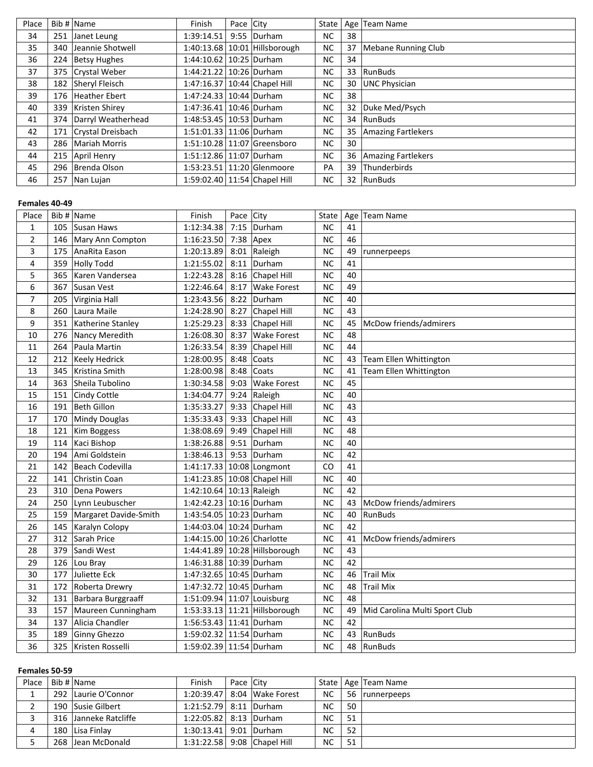| Place |     | Bib # Name          | Finish                      | Pace City |                                   | State     |    | Age   Team Name            |
|-------|-----|---------------------|-----------------------------|-----------|-----------------------------------|-----------|----|----------------------------|
| 34    | 251 | Janet Leung         | 1:39:14.51                  |           | 9:55 Durham                       | NC.       | 38 |                            |
| 35    | 340 | Jeannie Shotwell    |                             |           | $1:40:13.68$   10:01 Hillsborough | <b>NC</b> | 37 | <b>Mebane Running Club</b> |
| 36    | 224 | <b>Betsy Hughes</b> | 1:44:10.62   10:25   Durham |           |                                   | NC.       | 34 |                            |
| 37    |     | 375 Crystal Weber   | 1:44:21.22   10:26   Durham |           |                                   | <b>NC</b> | 33 | RunBuds                    |
| 38    | 182 | Sheryl Fleisch      |                             |           | 1:47:16.37   10:44   Chapel Hill  | NC        | 30 | UNC Physician              |
| 39    |     | 176 Heather Ebert   | 1:47:24.33 10:44 Durham     |           |                                   | <b>NC</b> | 38 |                            |
| 40    | 339 | Kristen Shirey      | 1:47:36.41   10:46   Durham |           |                                   | <b>NC</b> | 32 | Duke Med/Psych             |
| 41    | 374 | Darryl Weatherhead  | 1:48:53.45   10:53   Durham |           |                                   | <b>NC</b> |    | 34 RunBuds                 |
| 42    | 171 | Crystal Dreisbach   | 1:51:01.33   11:06   Durham |           |                                   | <b>NC</b> | 35 | Amazing Fartlekers         |
| 43    | 286 | Mariah Morris       |                             |           | 1:51:10.28 11:07 Greensboro       | NC.       | 30 |                            |
| 44    |     | 215 April Henry     | 1:51:12.86 11:07 Durham     |           |                                   | <b>NC</b> | 36 | <b>Amazing Fartlekers</b>  |
| 45    | 296 | Brenda Olson        |                             |           | 1:53:23.51   11:20   Glenmoore    | PA        | 39 | Thunderbirds               |
| 46    | 257 | Nan Lujan           |                             |           | 1:59:02.40 11:54 Chapel Hill      | NC.       |    | 32 RunBuds                 |

### **Females 40-49**

| Place          |     | Bib $#$ Name           | Finish                         | Pace City |                               | State     |    | Age Team Name                 |
|----------------|-----|------------------------|--------------------------------|-----------|-------------------------------|-----------|----|-------------------------------|
| $\mathbf{1}$   | 105 | Susan Haws             | 1:12:34.38                     |           | 7:15 $ $ Durham               | <b>NC</b> | 41 |                               |
| $\overline{2}$ | 146 | Mary Ann Compton       | 1:16:23.50                     | 7:38 Apex |                               | <b>NC</b> | 46 |                               |
| 3              | 175 | AnaRita Eason          | 1:20:13.89                     | 8:01      | Raleigh                       | <b>NC</b> | 49 | runnerpeeps                   |
| 4              | 359 | Holly Todd             | 1:21:55.02                     | 8:11      | Durham                        | <b>NC</b> | 41 |                               |
| 5              | 365 | Karen Vandersea        | 1:22:43.28                     | 8:16      | Chapel Hill                   | <b>NC</b> | 40 |                               |
| 6              | 367 | Susan Vest             | 1:22:46.64                     | 8:17      | <b>Wake Forest</b>            | <b>NC</b> | 49 |                               |
| $\overline{7}$ | 205 | Virginia Hall          | 1:23:43.56                     | 8:22      | Durham                        | <b>NC</b> | 40 |                               |
| 8              | 260 | Laura Maile            | 1:24:28.90                     | 8:27      | Chapel Hill                   | <b>NC</b> | 43 |                               |
| 9              | 351 | Katherine Stanley      | 1:25:29.23                     |           | 8:33 Chapel Hill              | <b>NC</b> | 45 | McDow friends/admirers        |
| 10             | 276 | Nancy Meredith         | 1:26:08.30                     | 8:37      | <b>Wake Forest</b>            | <b>NC</b> | 48 |                               |
| 11             | 264 | Paula Martin           | 1:26:33.54                     | 8:39      | Chapel Hill                   | <b>NC</b> | 44 |                               |
| 12             | 212 | Keely Hedrick          | 1:28:00.95                     | 8:48      | Coats                         | <b>NC</b> | 43 | Team Ellen Whittington        |
| 13             | 345 | Kristina Smith         | 1:28:00.98                     | 8:48      | Coats                         | <b>NC</b> | 41 | Team Ellen Whittington        |
| 14             | 363 | Sheila Tubolino        | 1:30:34.58                     | 9:03      | <b>Wake Forest</b>            | <b>NC</b> | 45 |                               |
| 15             | 151 | Cindy Cottle           | 1:34:04.77                     |           | 9:24 Raleigh                  | <b>NC</b> | 40 |                               |
| 16             | 191 | Beth Gillon            | 1:35:33.27                     | 9:33      | Chapel Hill                   | NC        | 43 |                               |
| 17             | 170 | Mindy Douglas          | 1:35:33.43                     |           | 9:33 Chapel Hill              | <b>NC</b> | 43 |                               |
| 18             | 121 | Kim Boggess            | 1:38:08.69                     | 9:49      | Chapel Hill                   | <b>NC</b> | 48 |                               |
| 19             | 114 | Kaci Bishop            | 1:38:26.88                     | 9:51      | Durham                        | <b>NC</b> | 40 |                               |
| 20             | 194 | Ami Goldstein          | 1:38:46.13                     |           | 9:53 Durham                   | <b>NC</b> | 42 |                               |
| 21             | 142 | <b>Beach Codevilla</b> | 1:41:17.33 10:08 Longmont      |           |                               | CO        | 41 |                               |
| 22             | 141 | Christin Coan          | 1:41:23.85   10:08 Chapel Hill |           |                               | <b>NC</b> | 40 |                               |
| 23             | 310 | Dena Powers            | 1:42:10.64 10:13 Raleigh       |           |                               | <b>NC</b> | 42 |                               |
| 24             | 250 | Lynn Leubuscher        | 1:42:42.23 10:16 Durham        |           |                               | <b>NC</b> | 43 | McDow friends/admirers        |
| 25             | 159 | Margaret Davide-Smith  | 1:43:54.05   10:23   Durham    |           |                               | <b>NC</b> | 40 | RunBuds                       |
| 26             | 145 | Karalyn Colopy         | 1:44:03.04 10:24 Durham        |           |                               | <b>NC</b> | 42 |                               |
| 27             | 312 | Sarah Price            | 1:44:15.00 10:26 Charlotte     |           |                               | <b>NC</b> | 41 | McDow friends/admirers        |
| 28             | 379 | Sandi West             |                                |           | 1:44:41.89 10:28 Hillsborough | <b>NC</b> | 43 |                               |
| 29             | 126 | Lou Bray               | 1:46:31.88 10:39 Durham        |           |                               | <b>NC</b> | 42 |                               |
| 30             | 177 | Juliette Eck           | 1:47:32.65 10:45 Durham        |           |                               | <b>NC</b> | 46 | <b>Trail Mix</b>              |
| 31             | 172 | Roberta Drewry         | 1:47:32.72 10:45 Durham        |           |                               | <b>NC</b> | 48 | <b>Trail Mix</b>              |
| 32             | 131 | Barbara Burggraaff     | 1:51:09.94 11:07 Louisburg     |           |                               | <b>NC</b> | 48 |                               |
| 33             | 157 | Maureen Cunningham     |                                |           | 1:53:33.13 11:21 Hillsborough | <b>NC</b> | 49 | Mid Carolina Multi Sport Club |
| 34             | 137 | Alicia Chandler        | 1:56:53.43 11:41 Durham        |           |                               | <b>NC</b> | 42 |                               |
| 35             | 189 | <b>Ginny Ghezzo</b>    | 1:59:02.32 11:54 Durham        |           |                               | <b>NC</b> | 43 | RunBuds                       |
| 36             | 325 | Kristen Rosselli       | 1:59:02.39 11:54 Durham        |           |                               | <b>NC</b> | 48 | RunBuds                       |

## **Females 50-59**

| Place | Bib # Name            | Finish                      | Pace City |                             |           |     | State   Age   Team Name |
|-------|-----------------------|-----------------------------|-----------|-----------------------------|-----------|-----|-------------------------|
|       | 292 Laurie O'Connor   |                             |           | 1:20:39.47 8:04 Wake Forest | NC.       |     | 56  runnerpeeps         |
|       | 190 Susie Gilbert     | 1:21:52.79 8:11 Durham      |           |                             | <b>NC</b> | 50  |                         |
|       | 316 Janneke Ratcliffe | 1:22:05.82   8:13   Durham  |           |                             | <b>NC</b> | 51  |                         |
|       | 180 Lisa Finlay       | $1:30:13.41$ 9:01 Durham    |           |                             | <b>NC</b> | -52 |                         |
|       | 268 Jean McDonald     | 1:31:22.58 9:08 Chapel Hill |           |                             | NC        | 51  |                         |